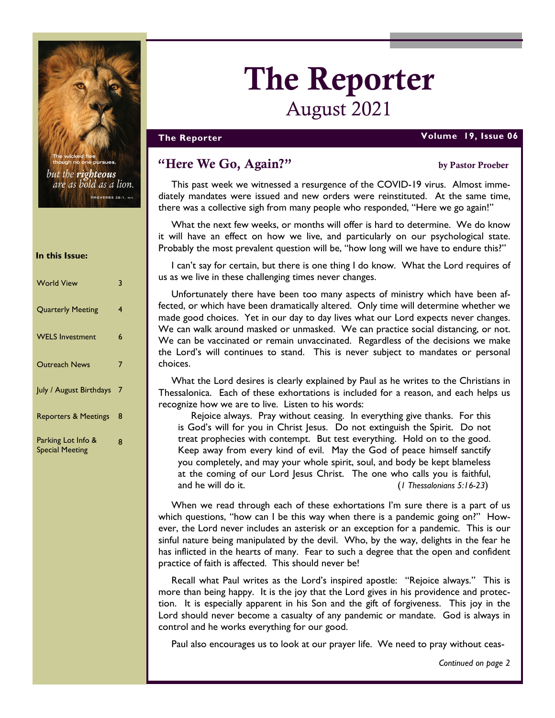

there are pursue but the **righteous** are as bold as a lion. PROVERBS 28:1, NIV

#### In this Issue:

| <b>World View</b>                            | 3 |
|----------------------------------------------|---|
| <b>Quarterly Meeting</b>                     | 4 |
| <b>WELS Investment</b>                       | 6 |
| <b>Outreach News</b>                         | 7 |
| July / August Birthdays                      | 7 |
| <b>Reporters &amp; Meetings</b>              | 8 |
| Parking Lot Info &<br><b>Special Meeting</b> | 8 |

# The Reporter August 2021

#### The Reporter Volume 19, Issue 06

# "Here We Go, Again?" by Pastor Proeber

This past week we witnessed a resurgence of the COVID-19 virus. Almost immediately mandates were issued and new orders were reinstituted. At the same time, there was a collective sigh from many people who responded, "Here we go again!"

What the next few weeks, or months will offer is hard to determine. We do know it will have an effect on how we live, and particularly on our psychological state. Probably the most prevalent question will be, "how long will we have to endure this?"

I can't say for certain, but there is one thing I do know. What the Lord requires of us as we live in these challenging times never changes.

Unfortunately there have been too many aspects of ministry which have been affected, or which have been dramatically altered. Only time will determine whether we made good choices. Yet in our day to day lives what our Lord expects never changes. We can walk around masked or unmasked. We can practice social distancing, or not. We can be vaccinated or remain unvaccinated. Regardless of the decisions we make the Lord's will continues to stand. This is never subject to mandates or personal choices.

What the Lord desires is clearly explained by Paul as he writes to the Christians in Thessalonica. Each of these exhortations is included for a reason, and each helps us recognize how we are to live. Listen to his words:

Rejoice always. Pray without ceasing. In everything give thanks. For this is God's will for you in Christ Jesus. Do not extinguish the Spirit. Do not treat prophecies with contempt. But test everything. Hold on to the good. Keep away from every kind of evil. May the God of peace himself sanctify you completely, and may your whole spirit, soul, and body be kept blameless at the coming of our Lord Jesus Christ. The one who calls you is faithful, and he will do it. (1 Thessalonians 5:16-23)

When we read through each of these exhortations I'm sure there is a part of us which questions, "how can I be this way when there is a pandemic going on?" However, the Lord never includes an asterisk or an exception for a pandemic. This is our sinful nature being manipulated by the devil. Who, by the way, delights in the fear he has inflicted in the hearts of many. Fear to such a degree that the open and confident practice of faith is affected. This should never be!

Recall what Paul writes as the Lord's inspired apostle: "Rejoice always." This is more than being happy. It is the joy that the Lord gives in his providence and protection. It is especially apparent in his Son and the gift of forgiveness. This joy in the Lord should never become a casualty of any pandemic or mandate. God is always in control and he works everything for our good.

Paul also encourages us to look at our prayer life. We need to pray without ceas-

Continued on page 2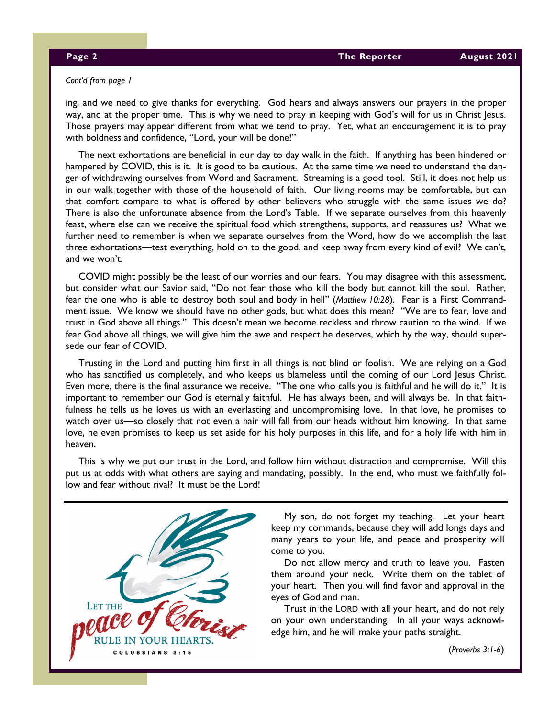#### Cont'd from page 1

ing, and we need to give thanks for everything. God hears and always answers our prayers in the proper way, and at the proper time. This is why we need to pray in keeping with God's will for us in Christ Jesus. Those prayers may appear different from what we tend to pray. Yet, what an encouragement it is to pray with boldness and confidence, "Lord, your will be done!"

The next exhortations are beneficial in our day to day walk in the faith. If anything has been hindered or hampered by COVID, this is it. It is good to be cautious. At the same time we need to understand the danger of withdrawing ourselves from Word and Sacrament. Streaming is a good tool. Still, it does not help us in our walk together with those of the household of faith. Our living rooms may be comfortable, but can that comfort compare to what is offered by other believers who struggle with the same issues we do? There is also the unfortunate absence from the Lord's Table. If we separate ourselves from this heavenly feast, where else can we receive the spiritual food which strengthens, supports, and reassures us? What we further need to remember is when we separate ourselves from the Word, how do we accomplish the last three exhortations—test everything, hold on to the good, and keep away from every kind of evil? We can't, and we won't.

COVID might possibly be the least of our worries and our fears. You may disagree with this assessment, but consider what our Savior said, "Do not fear those who kill the body but cannot kill the soul. Rather, fear the one who is able to destroy both soul and body in hell" (Matthew 10:28). Fear is a First Commandment issue. We know we should have no other gods, but what does this mean? "We are to fear, love and trust in God above all things." This doesn't mean we become reckless and throw caution to the wind. If we fear God above all things, we will give him the awe and respect he deserves, which by the way, should supersede our fear of COVID.

Trusting in the Lord and putting him first in all things is not blind or foolish. We are relying on a God who has sanctified us completely, and who keeps us blameless until the coming of our Lord Jesus Christ. Even more, there is the final assurance we receive. "The one who calls you is faithful and he will do it." It is important to remember our God is eternally faithful. He has always been, and will always be. In that faithfulness he tells us he loves us with an everlasting and uncompromising love. In that love, he promises to watch over us—so closely that not even a hair will fall from our heads without him knowing. In that same love, he even promises to keep us set aside for his holy purposes in this life, and for a holy life with him in heaven.

This is why we put our trust in the Lord, and follow him without distraction and compromise. Will this put us at odds with what others are saying and mandating, possibly. In the end, who must we faithfully follow and fear without rival? It must be the Lord!



My son, do not forget my teaching. Let your heart keep my commands, because they will add longs days and many years to your life, and peace and prosperity will come to you.

Do not allow mercy and truth to leave you. Fasten them around your neck. Write them on the tablet of your heart. Then you will find favor and approval in the eyes of God and man.

Trust in the LORD with all your heart, and do not rely on your own understanding. In all your ways acknowledge him, and he will make your paths straight.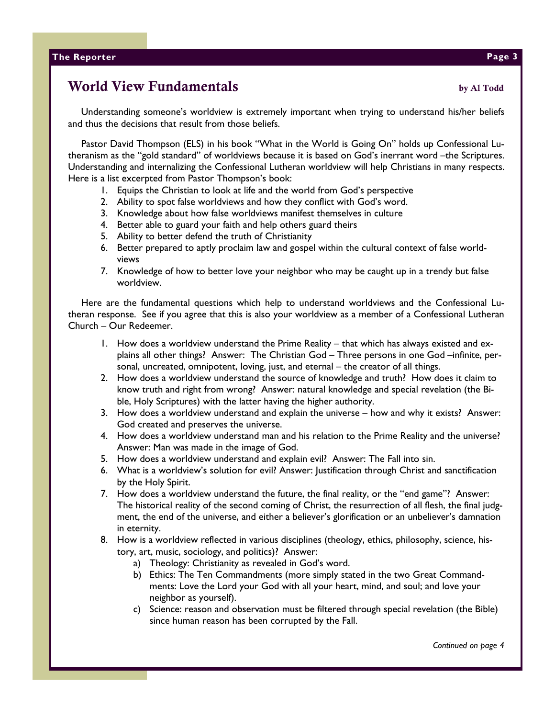# World View Fundamentals by Al Todd

Understanding someone's worldview is extremely important when trying to understand his/her beliefs and thus the decisions that result from those beliefs.

Pastor David Thompson (ELS) in his book "What in the World is Going On" holds up Confessional Lutheranism as the "gold standard" of worldviews because it is based on God's inerrant word –the Scriptures. Understanding and internalizing the Confessional Lutheran worldview will help Christians in many respects. Here is a list excerpted from Pastor Thompson's book:

- 1. Equips the Christian to look at life and the world from God's perspective
- 2. Ability to spot false worldviews and how they conflict with God's word.
- 3. Knowledge about how false worldviews manifest themselves in culture
- 4. Better able to guard your faith and help others guard theirs
- 5. Ability to better defend the truth of Christianity
- 6. Better prepared to aptly proclaim law and gospel within the cultural context of false worldviews
- 7. Knowledge of how to better love your neighbor who may be caught up in a trendy but false worldview.

Here are the fundamental questions which help to understand worldviews and the Confessional Lutheran response. See if you agree that this is also your worldview as a member of a Confessional Lutheran Church – Our Redeemer.

- 1. How does a worldview understand the Prime Reality that which has always existed and explains all other things? Answer: The Christian God – Three persons in one God –infinite, personal, uncreated, omnipotent, loving, just, and eternal – the creator of all things.
- 2. How does a worldview understand the source of knowledge and truth? How does it claim to know truth and right from wrong? Answer: natural knowledge and special revelation (the Bible, Holy Scriptures) with the latter having the higher authority.
- 3. How does a worldview understand and explain the universe how and why it exists? Answer: God created and preserves the universe.
- 4. How does a worldview understand man and his relation to the Prime Reality and the universe? Answer: Man was made in the image of God.
- 5. How does a worldview understand and explain evil? Answer: The Fall into sin.
- 6. What is a worldview's solution for evil? Answer: Justification through Christ and sanctification by the Holy Spirit.
- 7. How does a worldview understand the future, the final reality, or the "end game"? Answer: The historical reality of the second coming of Christ, the resurrection of all flesh, the final judgment, the end of the universe, and either a believer's glorification or an unbeliever's damnation in eternity.
- 8. How is a worldview reflected in various disciplines (theology, ethics, philosophy, science, history, art, music, sociology, and politics)? Answer:
	- a) Theology: Christianity as revealed in God's word.
	- b) Ethics: The Ten Commandments (more simply stated in the two Great Commandments: Love the Lord your God with all your heart, mind, and soul; and love your neighbor as yourself).
	- c) Science: reason and observation must be filtered through special revelation (the Bible) since human reason has been corrupted by the Fall.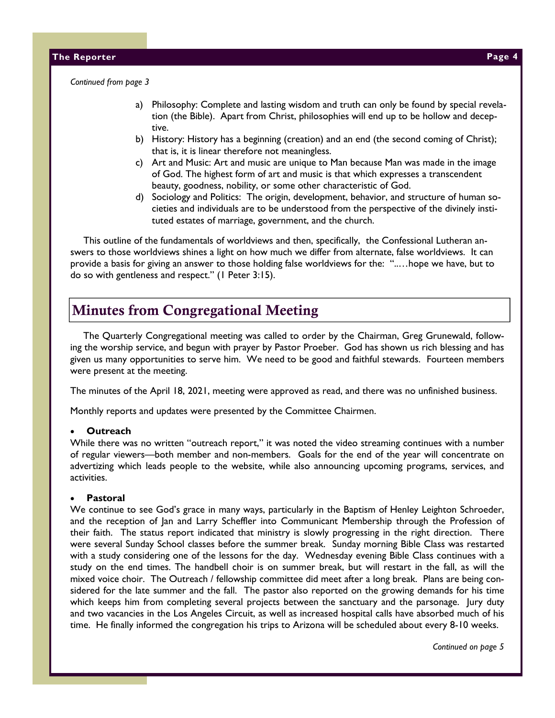Continued from page 3

- a) Philosophy: Complete and lasting wisdom and truth can only be found by special revelation (the Bible). Apart from Christ, philosophies will end up to be hollow and deceptive.
- b) History: History has a beginning (creation) and an end (the second coming of Christ); that is, it is linear therefore not meaningless.
- c) Art and Music: Art and music are unique to Man because Man was made in the image of God. The highest form of art and music is that which expresses a transcendent beauty, goodness, nobility, or some other characteristic of God.
- d) Sociology and Politics: The origin, development, behavior, and structure of human societies and individuals are to be understood from the perspective of the divinely instituted estates of marriage, government, and the church.

This outline of the fundamentals of worldviews and then, specifically, the Confessional Lutheran answers to those worldviews shines a light on how much we differ from alternate, false worldviews. It can provide a basis for giving an answer to those holding false worldviews for the: "..…hope we have, but to do so with gentleness and respect." (1 Peter 3:15).

# Minutes from Congregational Meeting

The Quarterly Congregational meeting was called to order by the Chairman, Greg Grunewald, following the worship service, and begun with prayer by Pastor Proeber. God has shown us rich blessing and has given us many opportunities to serve him. We need to be good and faithful stewards. Fourteen members were present at the meeting.

The minutes of the April 18, 2021, meeting were approved as read, and there was no unfinished business.

Monthly reports and updates were presented by the Committee Chairmen.

#### **Outreach**

While there was no written "outreach report," it was noted the video streaming continues with a number of regular viewers—both member and non-members. Goals for the end of the year will concentrate on advertizing which leads people to the website, while also announcing upcoming programs, services, and activities.

#### **Pastoral**

We continue to see God's grace in many ways, particularly in the Baptism of Henley Leighton Schroeder, and the reception of Jan and Larry Scheffler into Communicant Membership through the Profession of their faith. The status report indicated that ministry is slowly progressing in the right direction. There were several Sunday School classes before the summer break. Sunday morning Bible Class was restarted with a study considering one of the lessons for the day. Wednesday evening Bible Class continues with a study on the end times. The handbell choir is on summer break, but will restart in the fall, as will the mixed voice choir. The Outreach / fellowship committee did meet after a long break. Plans are being considered for the late summer and the fall. The pastor also reported on the growing demands for his time which keeps him from completing several projects between the sanctuary and the parsonage. Jury duty and two vacancies in the Los Angeles Circuit, as well as increased hospital calls have absorbed much of his time. He finally informed the congregation his trips to Arizona will be scheduled about every 8-10 weeks.

Continued on page 5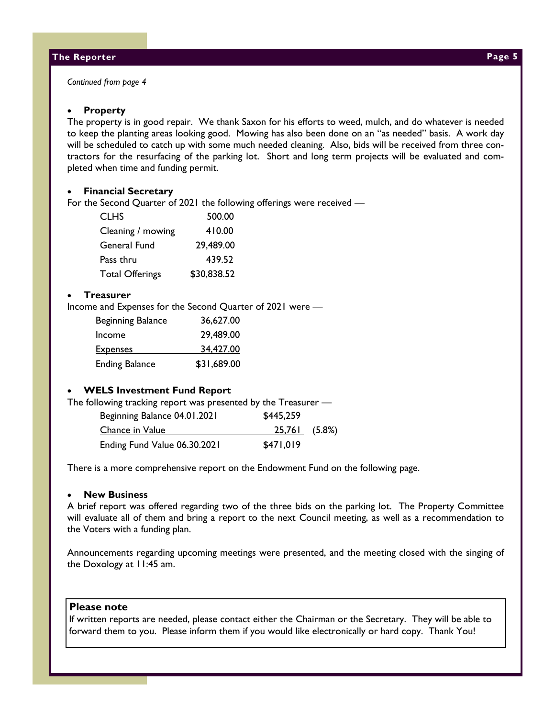Continued from page 4

#### **Property**

The property is in good repair. We thank Saxon for his efforts to weed, mulch, and do whatever is needed to keep the planting areas looking good. Mowing has also been done on an "as needed" basis. A work day will be scheduled to catch up with some much needed cleaning. Also, bids will be received from three contractors for the resurfacing of the parking lot. Short and long term projects will be evaluated and completed when time and funding permit.

#### • Financial Secretary

For the Second Quarter of 2021 the following offerings were received —

| <b>CLHS</b>            | 500.00      |
|------------------------|-------------|
| Cleaning / mowing      | 410.00      |
| General Fund           | 29,489.00   |
| Pass thru              | 439.52      |
| <b>Total Offerings</b> | \$30,838.52 |

#### **Treasurer**

Income and Expenses for the Second Quarter of 2021 were —

| Beginning Balance     | 36,627.00   |
|-----------------------|-------------|
| Income                | 29,489.00   |
| <b>Expenses</b>       | 34,427.00   |
| <b>Ending Balance</b> | \$31,689.00 |

#### • WELS Investment Fund Report

The following tracking report was presented by the Treasurer —

| Beginning Balance 04.01.2021 | \$445,259            |  |
|------------------------------|----------------------|--|
| Chance in Value              | <u>25,761</u> (5.8%) |  |
| Ending Fund Value 06.30.2021 | \$471.019            |  |

There is a more comprehensive report on the Endowment Fund on the following page.

### **New Business**

A brief report was offered regarding two of the three bids on the parking lot. The Property Committee will evaluate all of them and bring a report to the next Council meeting, as well as a recommendation to the Voters with a funding plan.

Announcements regarding upcoming meetings were presented, and the meeting closed with the singing of the Doxology at 11:45 am.

#### Please note

If written reports are needed, please contact either the Chairman or the Secretary. They will be able to forward them to you. Please inform them if you would like electronically or hard copy. Thank You!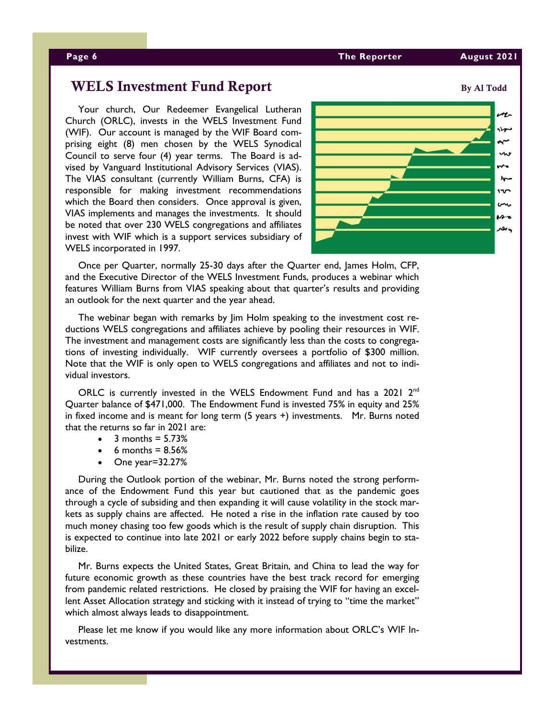#### Page 6 The Reporter August 2021 and August 2021 and August 2021

Your church, Our Redeemer Evangelical Lutheran Church (ORLC), invests in the WELS Investment Fund (WIF). Our account is managed by the WIF Board comprising eight (8) men chosen by the WELS Synodical Council to serve four (4) year terms. The Board is advised by Vanguard Institutional Advisory Services (VIAS). The VIAS consultant (currently William Burns, CFA) is responsible for making investment recommendations which the Board then considers. Once approval is given, VIAS implements and manages the investments. It should be noted that over 230 WELS congregations and affiliates invest with WIF which is a support services subsidiary of WELS incorporated in 1997.



Once per Quarter, normally 25-30 days after the Quarter end, James Holm, CFP, and the Executive Director of the WELS Investment Funds, produces a webinar which features William Burns from VIAS speaking about that quarter's results and providing an outlook for the next quarter and the year ahead.

The webinar began with remarks by Jim Holm speaking to the investment cost reductions WELS congregations and affiliates achieve by pooling their resources in WIF. The investment and management costs are significantly less than the costs to congregations of investing individually. WIF currently oversees a portfolio of \$300 million. Note that the WIF is only open to WELS congregations and affiliates and not to individual investors.

ORLC is currently invested in the WELS Endowment Fund and has a 2021  $2<sup>nd</sup>$ Quarter balance of \$471,000. The Endowment Fund is invested 75% in equity and 25% in fixed income and is meant for long term (5 years +) investments. Mr. Burns noted that the returns so far in 2021 are:

- $\bullet$  3 months = 5.73%
- 6 months =  $8.56%$
- One year=32.27%

During the Outlook portion of the webinar, Mr. Burns noted the strong performance of the Endowment Fund this year but cautioned that as the pandemic goes through a cycle of subsiding and then expanding it will cause volatility in the stock markets as supply chains are affected. He noted a rise in the inflation rate caused by too much money chasing too few goods which is the result of supply chain disruption. This is expected to continue into late 2021 or early 2022 before supply chains begin to stabilize.

Mr. Burns expects the United States, Great Britain, and China to lead the way for future economic growth as these countries have the best track record for emerging from pandemic related restrictions. He closed by praising the WIF for having an excellent Asset Allocation strategy and sticking with it instead of trying to "time the market" which almost always leads to disappointment.

Please let me know if you would like any more information about ORLC's WIF Investments.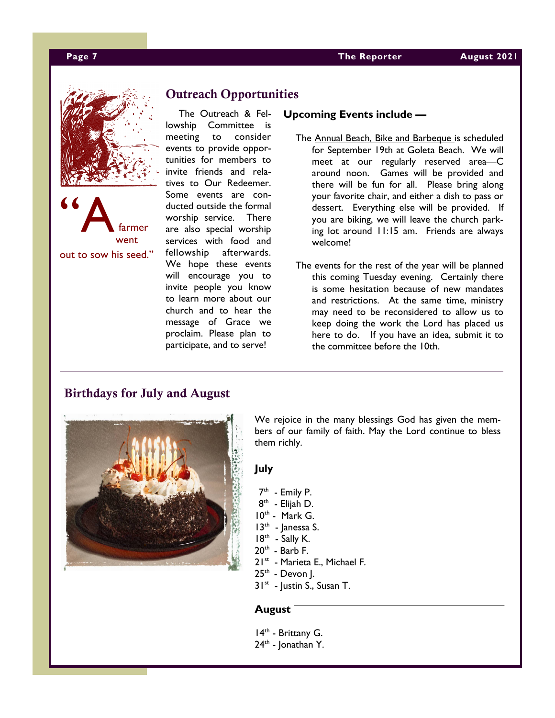



# Outreach Opportunities

The Outreach & Fellowship Committee is meeting to consider events to provide opportunities for members to invite friends and relatives to Our Redeemer. Some events are conducted outside the formal worship service. There are also special worship services with food and fellowship afterwards. We hope these events will encourage you to invite people you know to learn more about our church and to hear the message of Grace we proclaim. Please plan to participate, and to serve!

#### Upcoming Events include —

- The Annual Beach, Bike and Barbeque is scheduled for September 19th at Goleta Beach. We will meet at our regularly reserved area—C around noon. Games will be provided and there will be fun for all. Please bring along your favorite chair, and either a dish to pass or dessert. Everything else will be provided. If you are biking, we will leave the church parking lot around 11:15 am. Friends are always welcome!
- The events for the rest of the year will be planned this coming Tuesday evening. Certainly there is some hesitation because of new mandates and restrictions. At the same time, ministry may need to be reconsidered to allow us to keep doing the work the Lord has placed us here to do. If you have an idea, submit it to the committee before the 10th.

### Birthdays for July and August



We rejoice in the many blessings God has given the members of our family of faith. May the Lord continue to bless them richly.

### July

- 7<sup>th</sup> Emily P.
- 8<sup>th</sup> Elijah D.
- $10^{th}$  Mark G.
- $13<sup>th</sup>$  Janessa S.
- $18<sup>th</sup>$  Sally K.
- $20<sup>th</sup>$  Barb F.
- 21st Marieta E., Michael F.
- $25<sup>th</sup>$  Devon J.
- $31^{st}$  Justin S., Susan T.

### August

14<sup>th</sup> - Brittany G.

 $24<sup>th</sup>$  - Jonathan Y.